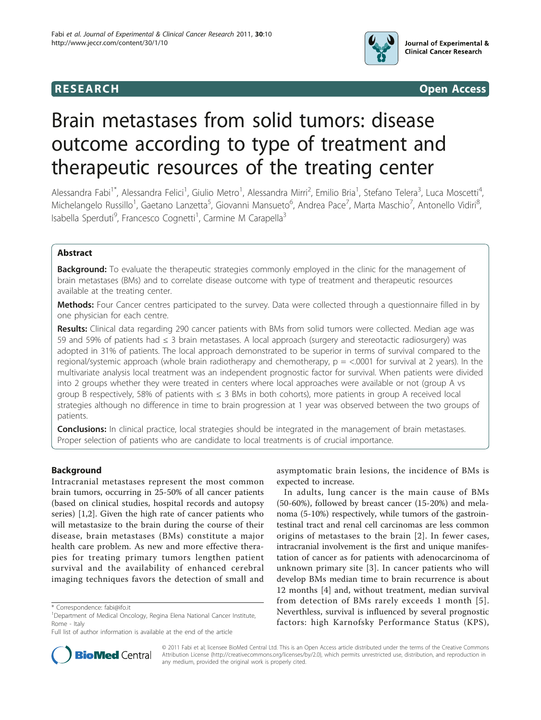



# Brain metastases from solid tumors: disease outcome according to type of treatment and therapeutic resources of the treating center

Alessandra Fabi<sup>1\*</sup>, Alessandra Felici<sup>1</sup>, Giulio Metro<sup>1</sup>, Alessandra Mirri<sup>2</sup>, Emilio Bria<sup>1</sup>, Stefano Telera<sup>3</sup>, Luca Moscetti<sup>4</sup> , Michelangelo Russillo<sup>1</sup>, Gaetano Lanzetta<sup>5</sup>, Giovanni Mansueto<sup>6</sup>, Andrea Pace<sup>7</sup>, Marta Maschio<sup>7</sup>, Antonello Vidiri<sup>s</sup> ;<br>, Isabella Sperduti<sup>9</sup>, Francesco Cognetti<sup>1</sup>, Carmine M Carapella<sup>3</sup>

# Abstract

Background: To evaluate the therapeutic strategies commonly employed in the clinic for the management of brain metastases (BMs) and to correlate disease outcome with type of treatment and therapeutic resources available at the treating center.

Methods: Four Cancer centres participated to the survey. Data were collected through a questionnaire filled in by one physician for each centre.

Results: Clinical data regarding 290 cancer patients with BMs from solid tumors were collected. Median age was 59 and 59% of patients had ≤ 3 brain metastases. A local approach (surgery and stereotactic radiosurgery) was adopted in 31% of patients. The local approach demonstrated to be superior in terms of survival compared to the regional/systemic approach (whole brain radiotherapy and chemotherapy,  $p = <.0001$  for survival at 2 years). In the multivariate analysis local treatment was an independent prognostic factor for survival. When patients were divided into 2 groups whether they were treated in centers where local approaches were available or not (group A vs group B respectively, 58% of patients with ≤ 3 BMs in both cohorts), more patients in group A received local strategies although no difference in time to brain progression at 1 year was observed between the two groups of patients.

**Conclusions:** In clinical practice, local strategies should be integrated in the management of brain metastases. Proper selection of patients who are candidate to local treatments is of crucial importance.

## Background

Intracranial metastases represent the most common brain tumors, occurring in 25-50% of all cancer patients (based on clinical studies, hospital records and autopsy series) [[1](#page-6-0),[2\]](#page-6-0). Given the high rate of cancer patients who will metastasize to the brain during the course of their disease, brain metastases (BMs) constitute a major health care problem. As new and more effective therapies for treating primary tumors lengthen patient survival and the availability of enhanced cerebral imaging techniques favors the detection of small and asymptomatic brain lesions, the incidence of BMs is expected to increase.

In adults, lung cancer is the main cause of BMs (50-60%), followed by breast cancer (15-20%) and melanoma (5-10%) respectively, while tumors of the gastrointestinal tract and renal cell carcinomas are less common origins of metastases to the brain [[2\]](#page-6-0). In fewer cases, intracranial involvement is the first and unique manifestation of cancer as for patients with adenocarcinoma of unknown primary site [[3\]](#page-6-0). In cancer patients who will develop BMs median time to brain recurrence is about 12 months [[4\]](#page-6-0) and, without treatment, median survival from detection of BMs rarely exceeds 1 month [[5\]](#page-6-0). Neverthless, survival is influenced by several prognostic factors: high Karnofsky Performance Status (KPS),



© 2011 Fabi et al; licensee BioMed Central Ltd. This is an Open Access article distributed under the terms of the Creative Commons Attribution License [\(http://creativecommons.org/licenses/by/2.0](http://creativecommons.org/licenses/by/2.0)), which permits unrestricted use, distribution, and reproduction in any medium, provided the original work is properly cited.

<sup>\*</sup> Correspondence: [fabi@ifo.it](mailto:fabi@ifo.it)

<sup>&</sup>lt;sup>1</sup>Department of Medical Oncology, Regina Elena National Cancer Institute, Rome - Italy

Full list of author information is available at the end of the article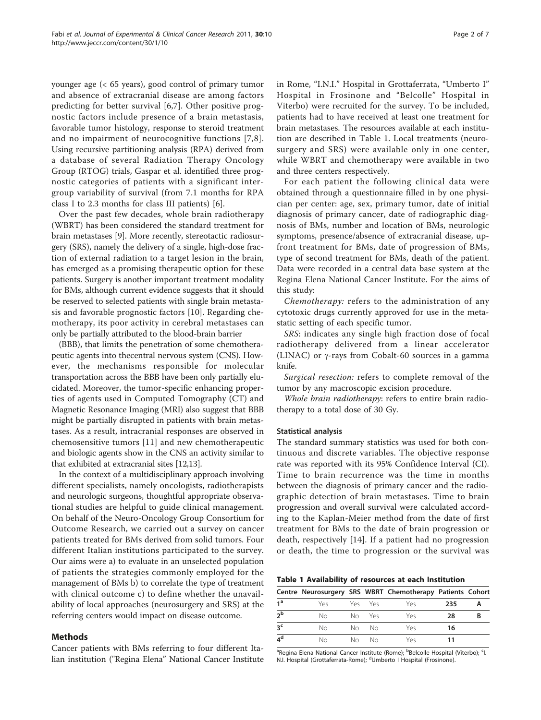<span id="page-1-0"></span>younger age (< 65 years), good control of primary tumor and absence of extracranial disease are among factors predicting for better survival [[6,7\]](#page-6-0). Other positive prognostic factors include presence of a brain metastasis, favorable tumor histology, response to steroid treatment and no impairment of neurocognitive functions [[7](#page-6-0),[8\]](#page-6-0). Using recursive partitioning analysis (RPA) derived from a database of several Radiation Therapy Oncology Group (RTOG) trials, Gaspar et al. identified three prognostic categories of patients with a significant intergroup variability of survival (from 7.1 months for RPA class I to 2.3 months for class III patients) [\[6](#page-6-0)].

Over the past few decades, whole brain radiotherapy (WBRT) has been considered the standard treatment for brain metastases [[9](#page-6-0)]. More recently, stereotactic radiosurgery (SRS), namely the delivery of a single, high-dose fraction of external radiation to a target lesion in the brain, has emerged as a promising therapeutic option for these patients. Surgery is another important treatment modality for BMs, although current evidence suggests that it should be reserved to selected patients with single brain metastasis and favorable prognostic factors [[10\]](#page-6-0). Regarding chemotherapy, its poor activity in cerebral metastases can only be partially attributed to the blood-brain barrier

(BBB), that limits the penetration of some chemotherapeutic agents into thecentral nervous system (CNS). However, the mechanisms responsible for molecular transportation across the BBB have been only partially elucidated. Moreover, the tumor-specific enhancing properties of agents used in Computed Tomography (CT) and Magnetic Resonance Imaging (MRI) also suggest that BBB might be partially disrupted in patients with brain metastases. As a result, intracranial responses are observed in chemosensitive tumors [[11](#page-6-0)] and new chemotherapeutic and biologic agents show in the CNS an activity similar to that exhibited at extracranial sites [\[12,13](#page-6-0)].

In the context of a multidisciplinary approach involving different specialists, namely oncologists, radiotherapists and neurologic surgeons, thoughtful appropriate observational studies are helpful to guide clinical management. On behalf of the Neuro-Oncology Group Consortium for Outcome Research, we carried out a survey on cancer patients treated for BMs derived from solid tumors. Four different Italian institutions participated to the survey. Our aims were a) to evaluate in an unselected population of patients the strategies commonly employed for the management of BMs b) to correlate the type of treatment with clinical outcome c) to define whether the unavailability of local approaches (neurosurgery and SRS) at the referring centers would impact on disease outcome.

## Methods

Cancer patients with BMs referring to four different Italian institution ("Regina Elena" National Cancer Institute in Rome, "I.N.I." Hospital in Grottaferrata, "Umberto I" Hospital in Frosinone and "Belcolle" Hospital in Viterbo) were recruited for the survey. To be included, patients had to have received at least one treatment for brain metastases. The resources available at each institution are described in Table 1. Local treatments (neurosurgery and SRS) were available only in one center, while WBRT and chemotherapy were available in two and three centers respectively.

For each patient the following clinical data were obtained through a questionnaire filled in by one physician per center: age, sex, primary tumor, date of initial diagnosis of primary cancer, date of radiographic diagnosis of BMs, number and location of BMs, neurologic symptoms, presence/absence of extracranial disease, upfront treatment for BMs, date of progression of BMs, type of second treatment for BMs, death of the patient. Data were recorded in a central data base system at the Regina Elena National Cancer Institute. For the aims of this study:

Chemotherapy: refers to the administration of any cytotoxic drugs currently approved for use in the metastatic setting of each specific tumor.

SRS: indicates any single high fraction dose of focal radiotherapy delivered from a linear accelerator (LINAC) or  $\gamma$ -rays from Cobalt-60 sources in a gamma knife.

Surgical resection: refers to complete removal of the tumor by any macroscopic excision procedure.

Whole brain radiotherapy: refers to entire brain radiotherapy to a total dose of 30 Gy.

## Statistical analysis

The standard summary statistics was used for both continuous and discrete variables. The objective response rate was reported with its 95% Confidence Interval (CI). Time to brain recurrence was the time in months between the diagnosis of primary cancer and the radiographic detection of brain metastases. Time to brain progression and overall survival were calculated according to the Kaplan-Meier method from the date of first treatment for BMs to the date of brain progression or death, respectively [[14\]](#page-6-0). If a patient had no progression or death, the time to progression or the survival was

Table 1 Availability of resources at each Institution

|                |     |         | Centre Neurosurgery SRS WBRT Chemotherapy Patients Cohort |     |  |
|----------------|-----|---------|-----------------------------------------------------------|-----|--|
| 1 <sup>a</sup> | Yes | Үрс Үрс | Yes                                                       | 235 |  |
| 2 <sup>b</sup> | No  | No Yes  | Yes                                                       | 28  |  |
| 3 <sup>c</sup> | Nο  | No No   | Yes                                                       | 16  |  |
| 4 <sup>d</sup> | Nο  | No No   | Yes                                                       |     |  |

<sup>a</sup>Regina Elena National Cancer Institute (Rome); <sup>b</sup>Belcolle Hospital (Viterbo); <sup>c</sup>l. N.I. Hospital (Grottaferrata-Rome); <sup>d</sup>Umberto I Hospital (Frosinone).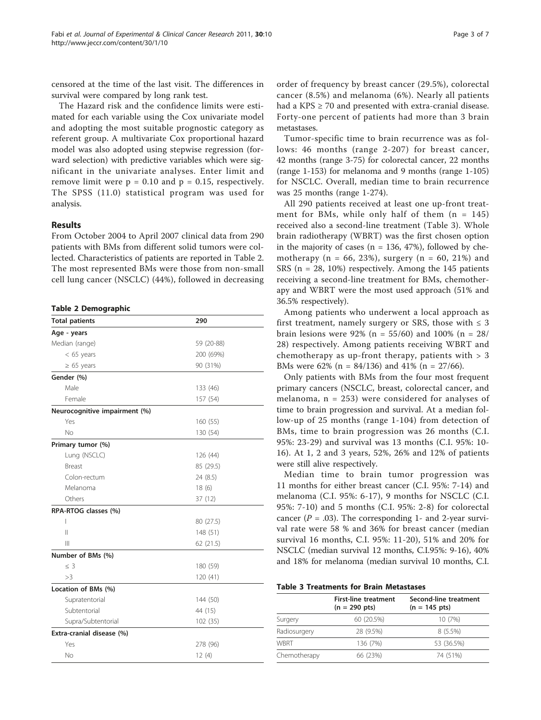censored at the time of the last visit. The differences in survival were compared by long rank test.

The Hazard risk and the confidence limits were estimated for each variable using the Cox univariate model and adopting the most suitable prognostic category as referent group. A multivariate Cox proportional hazard model was also adopted using stepwise regression (forward selection) with predictive variables which were significant in the univariate analyses. Enter limit and remove limit were  $p = 0.10$  and  $p = 0.15$ , respectively. The SPSS (11.0) statistical program was used for analysis.

## Results

From October 2004 to April 2007 clinical data from 290 patients with BMs from different solid tumors were collected. Characteristics of patients are reported in Table 2. The most represented BMs were those from non-small cell lung cancer (NSCLC) (44%), followed in decreasing

#### Table 2 Demographic

| <b>Total patients</b>         | 290        |
|-------------------------------|------------|
| Age - years                   |            |
| Median (range)                | 59 (20-88) |
| $<$ 65 years                  | 200 (69%)  |
| $\geq 65$ years               | 90 (31%)   |
| Gender (%)                    |            |
| Male                          | 133 (46)   |
| Female                        | 157 (54)   |
| Neurocognitive impairment (%) |            |
| Yes                           | 160 (55)   |
| Nο                            | 130 (54)   |
| Primary tumor (%)             |            |
| Lung (NSCLC)                  | 126 (44)   |
| Breast                        | 85 (29.5)  |
| Colon-rectum                  | 24 (8.5)   |
| Melanoma                      | 18(6)      |
| Others                        | 37 (12)    |
| RPA-RTOG classes (%)          |            |
| I                             | 80 (27.5)  |
| Ш                             | 148 (51)   |
| $\parallel$                   | 62 (21.5)  |
| Number of BMs (%)             |            |
| $<$ 3                         | 180 (59)   |
| >3                            | 120 (41)   |
| Location of BMs (%)           |            |
| Supratentorial                | 144 (50)   |
| Subtentorial                  | 44 (15)    |
| Supra/Subtentorial            | 102 (35)   |
| Extra-cranial disease (%)     |            |
| Yes                           | 278 (96)   |
| No                            | 12(4)      |

order of frequency by breast cancer (29.5%), colorectal cancer (8.5%) and melanoma (6%). Nearly all patients had a KPS  $\geq$  70 and presented with extra-cranial disease. Forty-one percent of patients had more than 3 brain metastases.

Tumor-specific time to brain recurrence was as follows: 46 months (range 2-207) for breast cancer, 42 months (range 3-75) for colorectal cancer, 22 months (range 1-153) for melanoma and 9 months (range 1-105) for NSCLC. Overall, median time to brain recurrence was 25 months (range 1-274).

All 290 patients received at least one up-front treatment for BMs, while only half of them  $(n = 145)$ received also a second-line treatment (Table 3). Whole brain radiotherapy (WBRT) was the first chosen option in the majority of cases ( $n = 136, 47\%$ ), followed by chemotherapy (n = 66, 23%), surgery (n = 60, 21%) and SRS ( $n = 28$ , 10%) respectively. Among the 145 patients receiving a second-line treatment for BMs, chemotherapy and WBRT were the most used approach (51% and 36.5% respectively).

Among patients who underwent a local approach as first treatment, namely surgery or SRS, those with  $\leq 3$ brain lesions were 92% ( $n = 55/60$ ) and 100% ( $n = 28/$ 28) respectively. Among patients receiving WBRT and chemotherapy as up-front therapy, patients with  $> 3$ BMs were 62% ( $n = 84/136$ ) and 41% ( $n = 27/66$ ).

Only patients with BMs from the four most frequent primary cancers (NSCLC, breast, colorectal cancer, and melanoma, n = 253) were considered for analyses of time to brain progression and survival. At a median follow-up of 25 months (range 1-104) from detection of BMs, time to brain progression was 26 months (C.I. 95%: 23-29) and survival was 13 months (C.I. 95%: 10- 16). At 1, 2 and 3 years, 52%, 26% and 12% of patients were still alive respectively.

Median time to brain tumor progression was 11 months for either breast cancer (C.I. 95%: 7-14) and melanoma (C.I. 95%: 6-17), 9 months for NSCLC (C.I. 95%: 7-10) and 5 months (C.I. 95%: 2-8) for colorectal cancer ( $P = .03$ ). The corresponding 1- and 2-year survival rate were 58 % and 36% for breast cancer (median survival 16 months, C.I. 95%: 11-20), 51% and 20% for NSCLC (median survival 12 months, C.I.95%: 9-16), 40% and 18% for melanoma (median survival 10 months, C.I.

Table 3 Treatments for Brain Metastases

|              | <b>First-line treatment</b><br>$(n = 290 \text{ pts})$ | Second-line treatment<br>$(n = 145 \text{ pts})$ |
|--------------|--------------------------------------------------------|--------------------------------------------------|
| Surgery      | 60 (20.5%)                                             | 10 (7%)                                          |
| Radiosurgery | 28 (9.5%)                                              | $8(5.5\%)$                                       |
| <b>WRRT</b>  | 136 (7%)                                               | 53 (36.5%)                                       |
| Chemotherapy | 66 (23%)                                               | 74 (51%)                                         |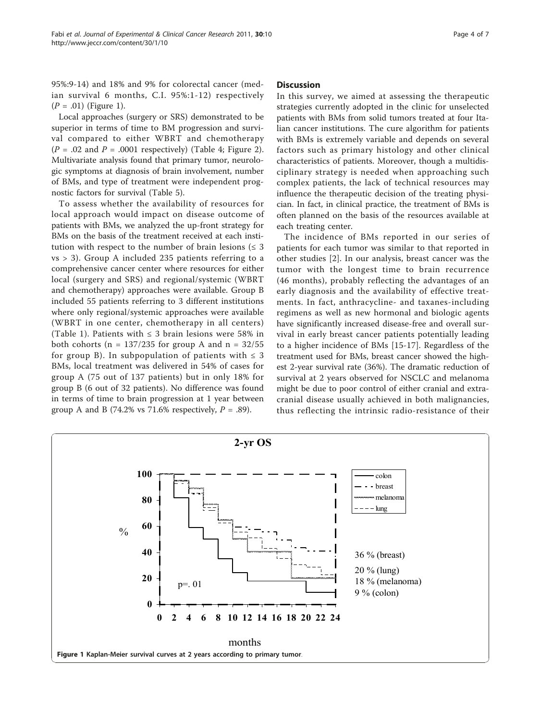95%:9-14) and 18% and 9% for colorectal cancer (median survival 6 months, C.I. 95%:1-12) respectively  $(P = .01)$  (Figure 1).

Local approaches (surgery or SRS) demonstrated to be superior in terms of time to BM progression and survival compared to either WBRT and chemotherapy  $(P = .02$  and  $P = .0001$  respectively) (Table [4](#page-4-0); Figure [2](#page-4-0)). Multivariate analysis found that primary tumor, neurologic symptoms at diagnosis of brain involvement, number of BMs, and type of treatment were independent prognostic factors for survival (Table [5](#page-5-0)).

To assess whether the availability of resources for local approach would impact on disease outcome of patients with BMs, we analyzed the up-front strategy for BMs on the basis of the treatment received at each institution with respect to the number of brain lesions  $( \leq 3)$ vs > 3). Group A included 235 patients referring to a comprehensive cancer center where resources for either local (surgery and SRS) and regional/systemic (WBRT and chemotherapy) approaches were available. Group B included 55 patients referring to 3 different institutions where only regional/systemic approaches were available (WBRT in one center, chemotherapy in all centers) (Table [1\)](#page-1-0). Patients with  $\leq$  3 brain lesions were 58% in both cohorts ( $n = 137/235$  for group A and  $n = 32/55$ for group B). In subpopulation of patients with  $\leq 3$ BMs, local treatment was delivered in 54% of cases for group A (75 out of 137 patients) but in only 18% for group B (6 out of 32 patients). No difference was found in terms of time to brain progression at 1 year between group A and B (74.2% vs 71.6% respectively,  $P = .89$ ).

## **Discussion**

In this survey, we aimed at assessing the therapeutic strategies currently adopted in the clinic for unselected patients with BMs from solid tumors treated at four Italian cancer institutions. The cure algorithm for patients with BMs is extremely variable and depends on several factors such as primary histology and other clinical characteristics of patients. Moreover, though a multidisciplinary strategy is needed when approaching such complex patients, the lack of technical resources may influence the therapeutic decision of the treating physician. In fact, in clinical practice, the treatment of BMs is often planned on the basis of the resources available at each treating center.

The incidence of BMs reported in our series of patients for each tumor was similar to that reported in other studies [[2\]](#page-6-0). In our analysis, breast cancer was the tumor with the longest time to brain recurrence (46 months), probably reflecting the advantages of an early diagnosis and the availability of effective treatments. In fact, anthracycline- and taxanes-including regimens as well as new hormonal and biologic agents have significantly increased disease-free and overall survival in early breast cancer patients potentially leading to a higher incidence of BMs [\[15](#page-6-0)-[17\]](#page-6-0). Regardless of the treatment used for BMs, breast cancer showed the highest 2-year survival rate (36%). The dramatic reduction of survival at 2 years observed for NSCLC and melanoma might be due to poor control of either cranial and extracranial disease usually achieved in both malignancies, thus reflecting the intrinsic radio-resistance of their

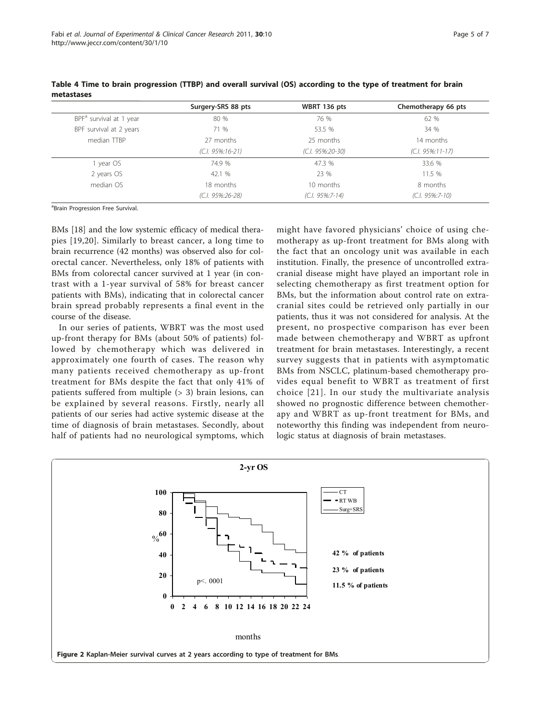|                                     | Surgery-SRS 88 pts   | WBRT 136 pts       | Chemotherapy 66 pts |
|-------------------------------------|----------------------|--------------------|---------------------|
| BPF <sup>a</sup> survival at 1 year | 80 %                 | 76 %               | 62 %                |
| BPF survival at 2 years             | 71 %                 | 53.5 %             | 34 %                |
| median TTBP                         | 27 months            | 25 months          |                     |
|                                     | $(C.I. 95\%; 16-21)$ | (C.I. 95%:20-30)   | $(C.I. 95\%:11-17)$ |
| year OS                             | 74.9 %               | 47.3 %             | 33.6 %              |
| 2 years OS                          | 42.1 %               | 23 %               | 11.5 %              |
| median OS                           | 18 months            | 10 months          | 8 months            |
|                                     | (C.I. 95%:26-28)     | $(C.I. 95\%:7-14)$ | $(C.I. 95\%:7-10)$  |

<span id="page-4-0"></span>Table 4 Time to brain progression (TTBP) and overall survival (OS) according to the type of treatment for brain metastases

<sup>a</sup>Brain Progression Free Survival.

BMs [[18](#page-6-0)] and the low systemic efficacy of medical therapies [\[19,20](#page-6-0)]. Similarly to breast cancer, a long time to brain recurrence (42 months) was observed also for colorectal cancer. Nevertheless, only 18% of patients with BMs from colorectal cancer survived at 1 year (in contrast with a 1-year survival of 58% for breast cancer patients with BMs), indicating that in colorectal cancer brain spread probably represents a final event in the course of the disease.

In our series of patients, WBRT was the most used up-front therapy for BMs (about 50% of patients) followed by chemotherapy which was delivered in approximately one fourth of cases. The reason why many patients received chemotherapy as up-front treatment for BMs despite the fact that only 41% of patients suffered from multiple (> 3) brain lesions, can be explained by several reasons. Firstly, nearly all patients of our series had active systemic disease at the time of diagnosis of brain metastases. Secondly, about half of patients had no neurological symptoms, which

might have favored physicians' choice of using chemotherapy as up-front treatment for BMs along with the fact that an oncology unit was available in each institution. Finally, the presence of uncontrolled extracranial disease might have played an important role in selecting chemotherapy as first treatment option for BMs, but the information about control rate on extracranial sites could be retrieved only partially in our patients, thus it was not considered for analysis. At the present, no prospective comparison has ever been made between chemotherapy and WBRT as upfront treatment for brain metastases. Interestingly, a recent survey suggests that in patients with asymptomatic BMs from NSCLC, platinum-based chemotherapy provides equal benefit to WBRT as treatment of first choice [[21\]](#page-6-0). In our study the multivariate analysis showed no prognostic difference between chemotherapy and WBRT as up-front treatment for BMs, and noteworthy this finding was independent from neurologic status at diagnosis of brain metastases.

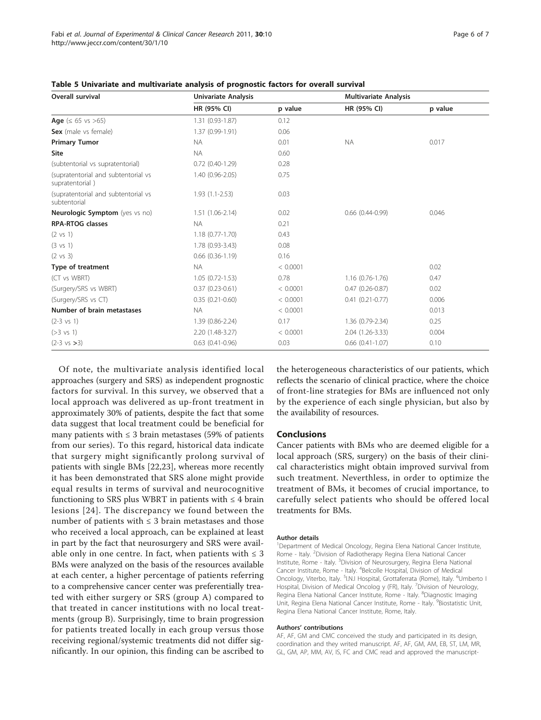| Overall survival                                       | <b>Univariate Analysis</b> |          |                        | <b>Multivariate Analysis</b> |  |
|--------------------------------------------------------|----------------------------|----------|------------------------|------------------------------|--|
|                                                        | HR (95% CI)                | p value  | HR (95% CI)            | p value                      |  |
| <b>Age</b> ( $\leq 65$ vs $>65$ )                      | $1.31(0.93-1.87)$          | 0.12     |                        |                              |  |
| Sex (male vs female)                                   | 1.37 (0.99-1.91)           | 0.06     |                        |                              |  |
| <b>Primary Tumor</b>                                   | <b>NA</b>                  | 0.01     | <b>NA</b>              | 0.017                        |  |
| Site                                                   | NA.                        | 0.60     |                        |                              |  |
| (subtentorial vs supratentorial)                       | $0.72(0.40-1.29)$          | 0.28     |                        |                              |  |
| (supratentorial and subtentorial vs<br>supratentorial) | 1.40 (0.96-2.05)           | 0.75     |                        |                              |  |
| (supratentorial and subtentorial vs<br>subtentorial    | $1.93(1.1 - 2.53)$         | 0.03     |                        |                              |  |
| Neurologic Symptom (yes vs no)                         | $1.51(1.06-2.14)$          | 0.02     | $0.66$ $(0.44 - 0.99)$ | 0.046                        |  |
| <b>RPA-RTOG classes</b>                                | <b>NA</b>                  | 0.21     |                        |                              |  |
| $(2 \text{ vs } 1)$                                    | $1.18(0.77-1.70)$          | 0.43     |                        |                              |  |
| $(3 \text{ vs } 1)$                                    | 1.78 (0.93-3.43)           | 0.08     |                        |                              |  |
| $(2 \text{ vs } 3)$                                    | $0.66$ $(0.36-1.19)$       | 0.16     |                        |                              |  |
| Type of treatment                                      | NA.                        | < 0.0001 |                        | 0.02                         |  |
| (CT vs WBRT)                                           | $1.05(0.72-1.53)$          | 0.78     | $1.16(0.76-1.76)$      | 0.47                         |  |
| (Surgery/SRS vs WBRT)                                  | $0.37(0.23-0.61)$          | < 0.0001 | $0.47(0.26 - 0.87)$    | 0.02                         |  |
| (Surgery/SRS vs CT)                                    | $0.35(0.21-0.60)$          | < 0.0001 | $0.41(0.21-0.77)$      | 0.006                        |  |
| Number of brain metastases                             | NA.                        | < 0.0001 |                        | 0.013                        |  |
| $(2-3 \text{ vs } 1)$                                  | 1.39 (0.86-2.24)           | 0.17     | 1.36 (0.79-2.34)       | 0.25                         |  |
| $(>3$ vs 1)                                            | 2.20 (1.48-3.27)           | < 0.0001 | 2.04 (1.26-3.33)       | 0.004                        |  |
| $(2-3 \text{ vs } >3)$                                 | $0.63$ $(0.41 - 0.96)$     | 0.03     | $0.66$ $(0.41 - 1.07)$ | 0.10                         |  |

<span id="page-5-0"></span>Table 5 Univariate and multivariate analysis of prognostic factors for overall survival

Of note, the multivariate analysis identified local approaches (surgery and SRS) as independent prognostic factors for survival. In this survey, we observed that a local approach was delivered as up-front treatment in approximately 30% of patients, despite the fact that some data suggest that local treatment could be beneficial for many patients with  $\leq$  3 brain metastases (59% of patients from our series). To this regard, historical data indicate that surgery might significantly prolong survival of patients with single BMs [[22,23](#page-6-0)], whereas more recently it has been demonstrated that SRS alone might provide equal results in terms of survival and neurocognitive functioning to SRS plus WBRT in patients with  $\leq 4$  brain lesions [[24](#page-6-0)]. The discrepancy we found between the number of patients with  $\leq$  3 brain metastases and those who received a local approach, can be explained at least in part by the fact that neurosurgery and SRS were available only in one centre. In fact, when patients with  $\leq 3$ BMs were analyzed on the basis of the resources available at each center, a higher percentage of patients referring to a comprehensive cancer center was preferentially treated with either surgery or SRS (group A) compared to that treated in cancer institutions with no local treatments (group B). Surprisingly, time to brain progression for patients treated locally in each group versus those receiving regional/systemic treatments did not differ significantly. In our opinion, this finding can be ascribed to

the heterogeneous characteristics of our patients, which reflects the scenario of clinical practice, where the choice of front-line strategies for BMs are influenced not only by the experience of each single physician, but also by the availability of resources.

## Conclusions

Cancer patients with BMs who are deemed eligible for a local approach (SRS, surgery) on the basis of their clinical characteristics might obtain improved survival from such treatment. Neverthless, in order to optimize the treatment of BMs, it becomes of crucial importance, to carefully select patients who should be offered local treatments for BMs.

#### Author details

<sup>1</sup>Department of Medical Oncology, Regina Elena National Cancer Institute, Rome - Italy. <sup>2</sup> Division of Radiotherapy Regina Elena National Cancer Institute, Rome - Italy. <sup>3</sup>Division of Neurosurgery, Regina Elena National Cancer Institute, Rome - Italy. <sup>4</sup>Belcolle Hospital, Division of Medical Oncology, Viterbo, Italy. <sup>5</sup>I.N.I Hospital, Grottaferrata (Rome), Italy. <sup>6</sup>Umberto I Hospital, Division of Medical Oncolog y (FR), Italy. <sup>7</sup>Division of Neurology Regina Elena National Cancer Institute, Rome - Italy. <sup>8</sup>Diagnostic Imaging Unit, Regina Elena National Cancer Institute, Rome - Italy. <sup>9</sup>Biostatistic Unit Regina Elena National Cancer Institute, Rome, Italy.

#### Authors' contributions

AF, AF, GM and CMC conceived the study and participated in its design, coordination and they writed manuscript. AF, AF, GM, AM, EB, ST, LM, MR, GL, GM, AP, MM, AV, IS, FC and CMC read and approved the manuscript-